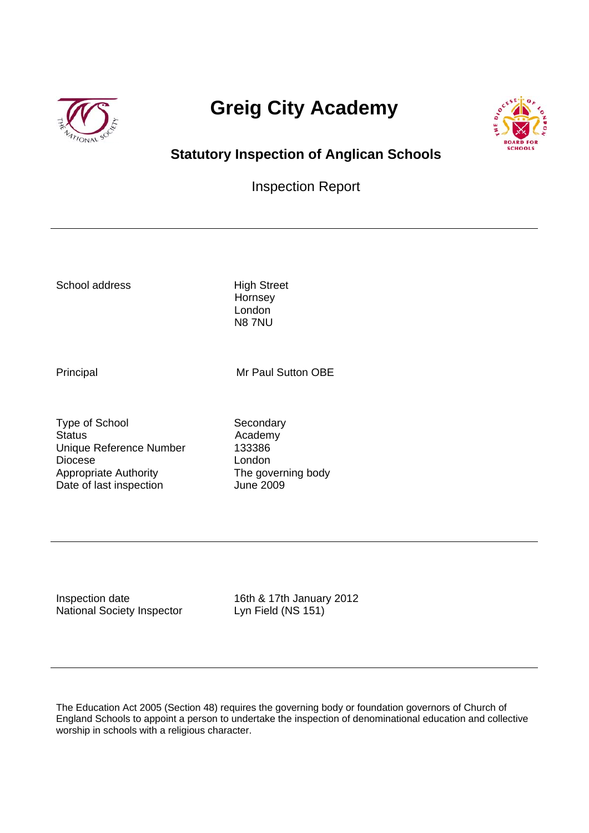

# **Greig City Academy**



# **Statutory Inspection of Anglican Schools**

# Inspection Report

School address High Street

**Hornsey**  London N8 7NU

Principal Mr Paul Sutton OBE

Type of School Secondary Status **Academy** Unique Reference Number 133386 Diocese London Appropriate Authority<br>
Date of last inspection<br>
Uune 2009 Date of last inspection

Inspection date 16th & 17th January 2012 National Society Inspector Lyn Field (NS 151)

The Education Act 2005 (Section 48) requires the governing body or foundation governors of Church of England Schools to appoint a person to undertake the inspection of denominational education and collective worship in schools with a religious character.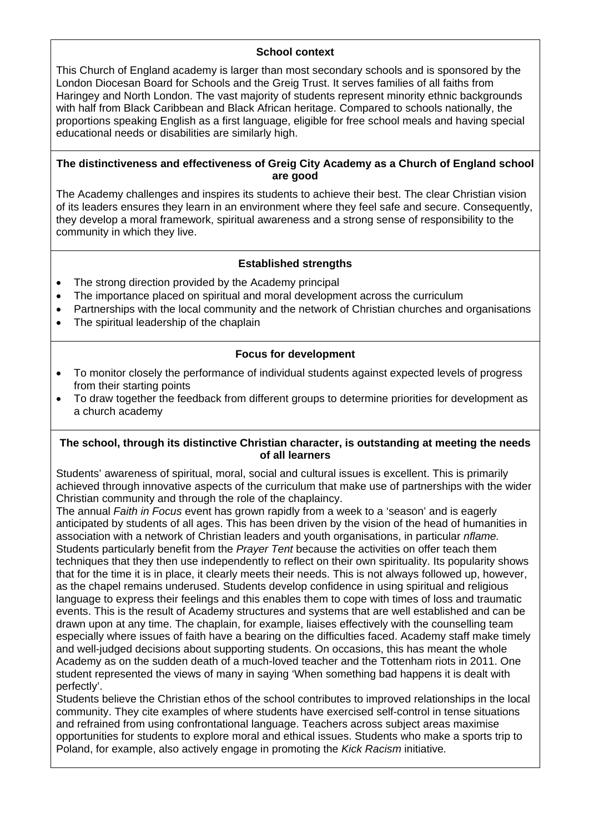#### **School context**

This Church of England academy is larger than most secondary schools and is sponsored by the London Diocesan Board for Schools and the Greig Trust. It serves families of all faiths from Haringey and North London. The vast majority of students represent minority ethnic backgrounds with half from Black Caribbean and Black African heritage. Compared to schools nationally, the proportions speaking English as a first language, eligible for free school meals and having special educational needs or disabilities are similarly high.

#### **The distinctiveness and effectiveness of Greig City Academy as a Church of England school are good**

The Academy challenges and inspires its students to achieve their best. The clear Christian vision of its leaders ensures they learn in an environment where they feel safe and secure. Consequently, they develop a moral framework, spiritual awareness and a strong sense of responsibility to the community in which they live.

### **Established strengths**

- The strong direction provided by the Academy principal
- The importance placed on spiritual and moral development across the curriculum
- Partnerships with the local community and the network of Christian churches and organisations
- The spiritual leadership of the chaplain

#### **Focus for development**

- To monitor closely the performance of individual students against expected levels of progress from their starting points
- To draw together the feedback from different groups to determine priorities for development as a church academy

#### **The school, through its distinctive Christian character, is outstanding at meeting the needs of all learners**

Students' awareness of spiritual, moral, social and cultural issues is excellent. This is primarily achieved through innovative aspects of the curriculum that make use of partnerships with the wider Christian community and through the role of the chaplaincy.

The annual *Faith in Focus* event has grown rapidly from a week to a 'season' and is eagerly anticipated by students of all ages. This has been driven by the vision of the head of humanities in association with a network of Christian leaders and youth organisations, in particular *nflame.*  Students particularly benefit from the *Prayer Tent* because the activities on offer teach them techniques that they then use independently to reflect on their own spirituality. Its popularity shows that for the time it is in place, it clearly meets their needs. This is not always followed up, however, as the chapel remains underused. Students develop confidence in using spiritual and religious language to express their feelings and this enables them to cope with times of loss and traumatic events. This is the result of Academy structures and systems that are well established and can be drawn upon at any time. The chaplain, for example, liaises effectively with the counselling team especially where issues of faith have a bearing on the difficulties faced. Academy staff make timely and well-judged decisions about supporting students. On occasions, this has meant the whole Academy as on the sudden death of a much-loved teacher and the Tottenham riots in 2011. One student represented the views of many in saying 'When something bad happens it is dealt with perfectly'.

Students believe the Christian ethos of the school contributes to improved relationships in the local community. They cite examples of where students have exercised self-control in tense situations and refrained from using confrontational language. Teachers across subject areas maximise opportunities for students to explore moral and ethical issues. Students who make a sports trip to Poland, for example, also actively engage in promoting the *Kick Racism* initiative*.*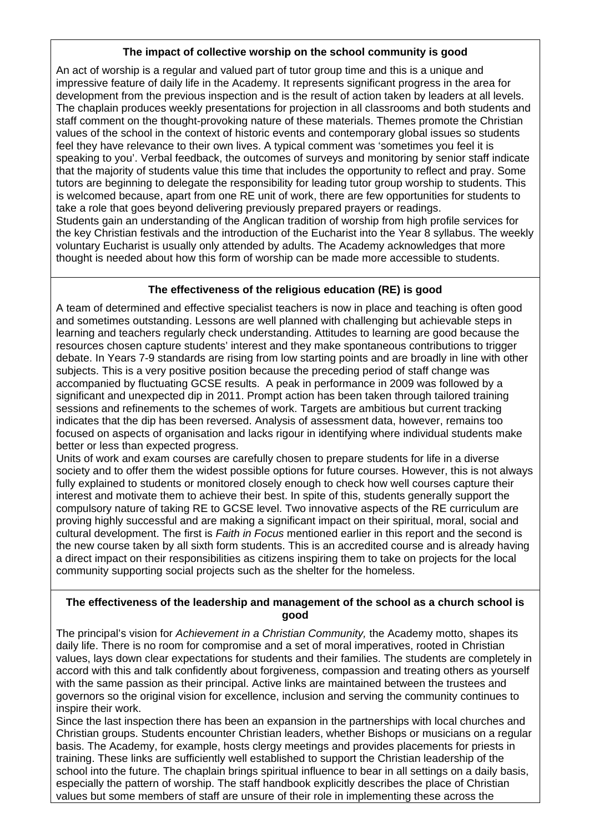### **The impact of collective worship on the school community is good**

An act of worship is a regular and valued part of tutor group time and this is a unique and impressive feature of daily life in the Academy. It represents significant progress in the area for development from the previous inspection and is the result of action taken by leaders at all levels. The chaplain produces weekly presentations for projection in all classrooms and both students and staff comment on the thought-provoking nature of these materials. Themes promote the Christian values of the school in the context of historic events and contemporary global issues so students feel they have relevance to their own lives. A typical comment was 'sometimes you feel it is speaking to you'. Verbal feedback, the outcomes of surveys and monitoring by senior staff indicate that the majority of students value this time that includes the opportunity to reflect and pray. Some tutors are beginning to delegate the responsibility for leading tutor group worship to students. This is welcomed because, apart from one RE unit of work, there are few opportunities for students to take a role that goes beyond delivering previously prepared prayers or readings. Students gain an understanding of the Anglican tradition of worship from high profile services for the key Christian festivals and the introduction of the Eucharist into the Year 8 syllabus. The weekly voluntary Eucharist is usually only attended by adults. The Academy acknowledges that more thought is needed about how this form of worship can be made more accessible to students.

## **The effectiveness of the religious education (RE) is good**

A team of determined and effective specialist teachers is now in place and teaching is often good and sometimes outstanding. Lessons are well planned with challenging but achievable steps in learning and teachers regularly check understanding. Attitudes to learning are good because the resources chosen capture students' interest and they make spontaneous contributions to trigger debate. In Years 7-9 standards are rising from low starting points and are broadly in line with other subjects. This is a very positive position because the preceding period of staff change was accompanied by fluctuating GCSE results. A peak in performance in 2009 was followed by a significant and unexpected dip in 2011. Prompt action has been taken through tailored training sessions and refinements to the schemes of work. Targets are ambitious but current tracking indicates that the dip has been reversed. Analysis of assessment data, however, remains too focused on aspects of organisation and lacks rigour in identifying where individual students make better or less than expected progress.

Units of work and exam courses are carefully chosen to prepare students for life in a diverse society and to offer them the widest possible options for future courses. However, this is not always fully explained to students or monitored closely enough to check how well courses capture their interest and motivate them to achieve their best. In spite of this, students generally support the compulsory nature of taking RE to GCSE level. Two innovative aspects of the RE curriculum are proving highly successful and are making a significant impact on their spiritual, moral, social and cultural development. The first is *Faith in Focus* mentioned earlier in this report and the second is the new course taken by all sixth form students. This is an accredited course and is already having a direct impact on their responsibilities as citizens inspiring them to take on projects for the local community supporting social projects such as the shelter for the homeless.

#### **The effectiveness of the leadership and management of the school as a church school is good**

The principal's vision for *Achievement in a Christian Community,* the Academy motto, shapes its daily life. There is no room for compromise and a set of moral imperatives, rooted in Christian values, lays down clear expectations for students and their families. The students are completely in accord with this and talk confidently about forgiveness, compassion and treating others as yourself with the same passion as their principal. Active links are maintained between the trustees and governors so the original vision for excellence, inclusion and serving the community continues to inspire their work.

Since the last inspection there has been an expansion in the partnerships with local churches and Christian groups. Students encounter Christian leaders, whether Bishops or musicians on a regular basis. The Academy, for example, hosts clergy meetings and provides placements for priests in training. These links are sufficiently well established to support the Christian leadership of the school into the future. The chaplain brings spiritual influence to bear in all settings on a daily basis, especially the pattern of worship. The staff handbook explicitly describes the place of Christian values but some members of staff are unsure of their role in implementing these across the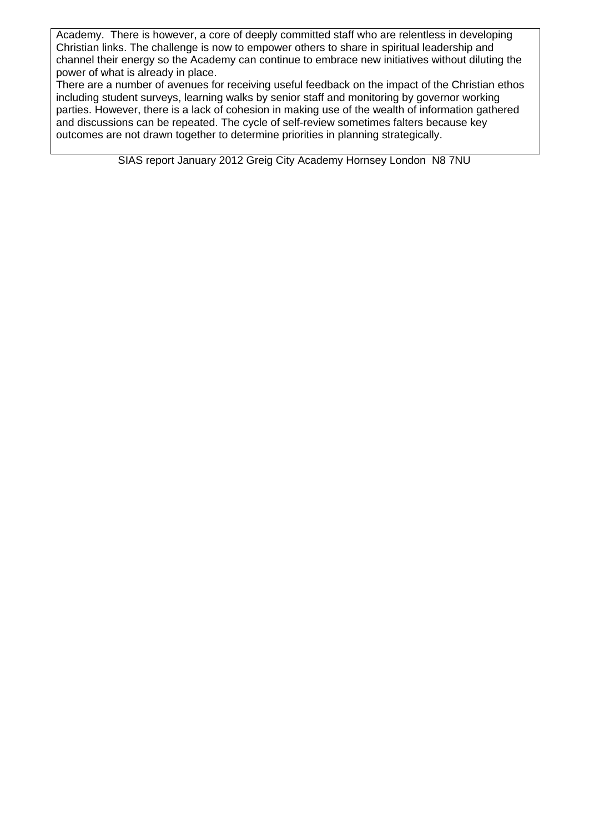Academy. There is however, a core of deeply committed staff who are relentless in developing Christian links. The challenge is now to empower others to share in spiritual leadership and channel their energy so the Academy can continue to embrace new initiatives without diluting the power of what is already in place.

There are a number of avenues for receiving useful feedback on the impact of the Christian ethos including student surveys, learning walks by senior staff and monitoring by governor working parties. However, there is a lack of cohesion in making use of the wealth of information gathered and discussions can be repeated. The cycle of self-review sometimes falters because key outcomes are not drawn together to determine priorities in planning strategically.

SIAS report January 2012 Greig City Academy Hornsey London N8 7NU